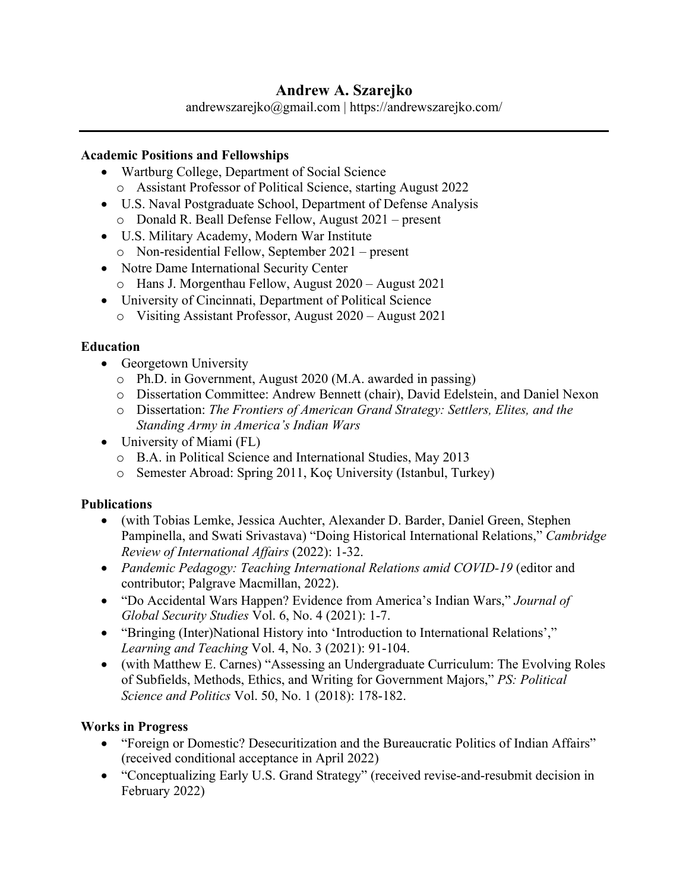# **Andrew A. Szarejko**

andrewszarejko@gmail.com | https://andrewszarejko.com/

#### **Academic Positions and Fellowships**

- Wartburg College, Department of Social Science o Assistant Professor of Political Science, starting August 2022
- U.S. Naval Postgraduate School, Department of Defense Analysis o Donald R. Beall Defense Fellow, August 2021 – present
- U.S. Military Academy, Modern War Institute o Non-residential Fellow, September 2021 – present
- Notre Dame International Security Center
	- o Hans J. Morgenthau Fellow, August 2020 August 2021
- University of Cincinnati, Department of Political Science
	- o Visiting Assistant Professor, August 2020 August 2021

### **Education**

- Georgetown University
	- o Ph.D. in Government, August 2020 (M.A. awarded in passing)
	- o Dissertation Committee: Andrew Bennett (chair), David Edelstein, and Daniel Nexon
	- o Dissertation: *The Frontiers of American Grand Strategy: Settlers, Elites, and the Standing Army in America's Indian Wars*
- University of Miami (FL)
	- o B.A. in Political Science and International Studies, May 2013
	- o Semester Abroad: Spring 2011, Koç University (Istanbul, Turkey)

### **Publications**

- (with Tobias Lemke, Jessica Auchter, Alexander D. Barder, Daniel Green, Stephen Pampinella, and Swati Srivastava) "Doing Historical International Relations," *Cambridge Review of International Affairs* (2022): 1-32.
- *Pandemic Pedagogy: Teaching International Relations amid COVID-19* (editor and contributor; Palgrave Macmillan, 2022).
- "Do Accidental Wars Happen? Evidence from America's Indian Wars," *Journal of Global Security Studies* Vol. 6, No. 4 (2021): 1-7.
- "Bringing (Inter)National History into 'Introduction to International Relations'," *Learning and Teaching* Vol. 4, No. 3 (2021): 91-104.
- (with Matthew E. Carnes) "Assessing an Undergraduate Curriculum: The Evolving Roles of Subfields, Methods, Ethics, and Writing for Government Majors," *PS: Political Science and Politics* Vol. 50, No. 1 (2018): 178-182.

## **Works in Progress**

- "Foreign or Domestic? Desecuritization and the Bureaucratic Politics of Indian Affairs" (received conditional acceptance in April 2022)
- "Conceptualizing Early U.S. Grand Strategy" (received revise-and-resubmit decision in February 2022)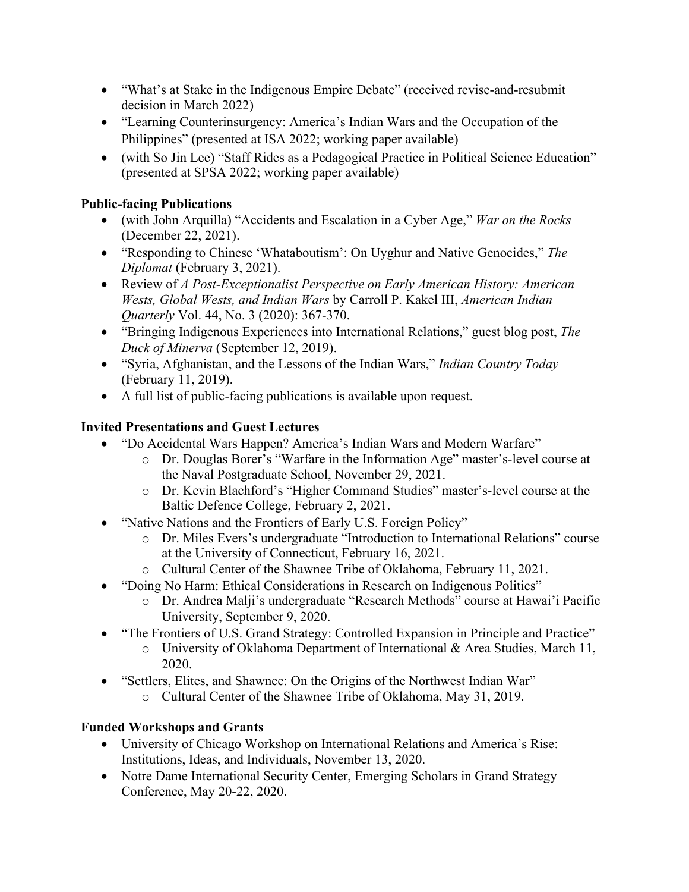- "What's at Stake in the Indigenous Empire Debate" (received revise-and-resubmit decision in March 2022)
- "Learning Counterinsurgency: America's Indian Wars and the Occupation of the Philippines" (presented at ISA 2022; working paper available)
- (with So Jin Lee) "Staff Rides as a Pedagogical Practice in Political Science Education" (presented at SPSA 2022; working paper available)

## **Public-facing Publications**

- (with John Arquilla) "Accidents and Escalation in a Cyber Age," *War on the Rocks* (December 22, 2021).
- "Responding to Chinese 'Whataboutism': On Uyghur and Native Genocides," *The Diplomat* (February 3, 2021).
- Review of *A Post-Exceptionalist Perspective on Early American History: American Wests, Global Wests, and Indian Wars* by Carroll P. Kakel III, *American Indian Quarterly* Vol. 44, No. 3 (2020): 367-370.
- "Bringing Indigenous Experiences into International Relations," guest blog post, *The Duck of Minerva* (September 12, 2019).
- "Syria, Afghanistan, and the Lessons of the Indian Wars," *Indian Country Today*  (February 11, 2019).
- A full list of public-facing publications is available upon request.

## **Invited Presentations and Guest Lectures**

- "Do Accidental Wars Happen? America's Indian Wars and Modern Warfare"
	- o Dr. Douglas Borer's "Warfare in the Information Age" master's-level course at the Naval Postgraduate School, November 29, 2021.
	- o Dr. Kevin Blachford's "Higher Command Studies" master's-level course at the Baltic Defence College, February 2, 2021.
- "Native Nations and the Frontiers of Early U.S. Foreign Policy"
	- o Dr. Miles Evers's undergraduate "Introduction to International Relations" course at the University of Connecticut, February 16, 2021.
	- o Cultural Center of the Shawnee Tribe of Oklahoma, February 11, 2021.
- "Doing No Harm: Ethical Considerations in Research on Indigenous Politics"
	- o Dr. Andrea Malji's undergraduate "Research Methods" course at Hawai'i Pacific University, September 9, 2020.
- "The Frontiers of U.S. Grand Strategy: Controlled Expansion in Principle and Practice"
	- o University of Oklahoma Department of International & Area Studies, March 11, 2020.
- "Settlers, Elites, and Shawnee: On the Origins of the Northwest Indian War"
	- o Cultural Center of the Shawnee Tribe of Oklahoma, May 31, 2019.

## **Funded Workshops and Grants**

- University of Chicago Workshop on International Relations and America's Rise: Institutions, Ideas, and Individuals, November 13, 2020.
- Notre Dame International Security Center, Emerging Scholars in Grand Strategy Conference, May 20-22, 2020.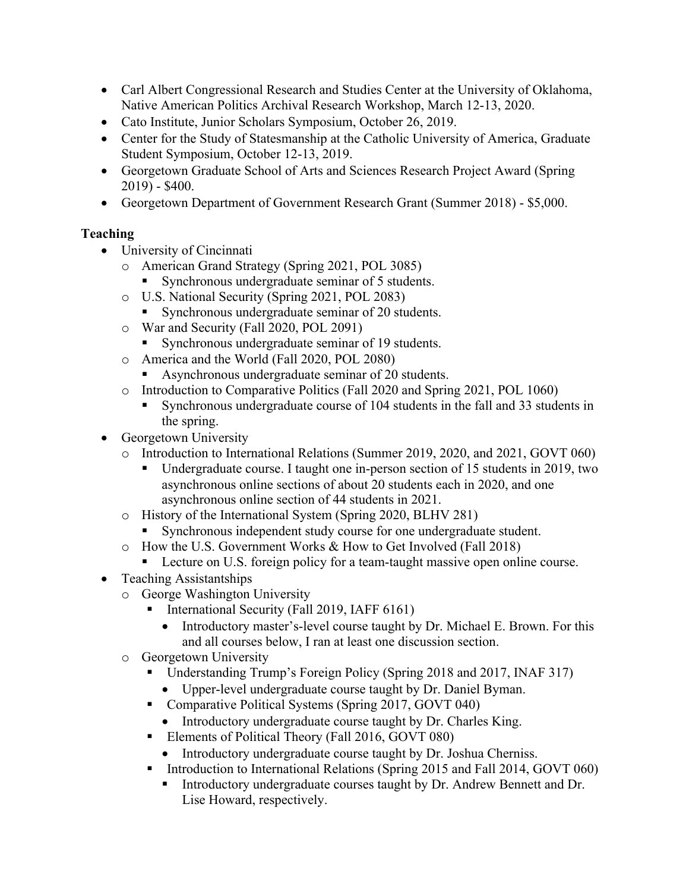- Carl Albert Congressional Research and Studies Center at the University of Oklahoma, Native American Politics Archival Research Workshop, March 12-13, 2020.
- Cato Institute, Junior Scholars Symposium, October 26, 2019.
- Center for the Study of Statesmanship at the Catholic University of America, Graduate Student Symposium, October 12-13, 2019.
- Georgetown Graduate School of Arts and Sciences Research Project Award (Spring 2019) - \$400.
- Georgetown Department of Government Research Grant (Summer 2018) \$5,000.

## **Teaching**

- University of Cincinnati
	- o American Grand Strategy (Spring 2021, POL 3085)
		- Synchronous undergraduate seminar of 5 students.
	- o U.S. National Security (Spring 2021, POL 2083)
		- Synchronous undergraduate seminar of 20 students.
	- o War and Security (Fall 2020, POL 2091)
		- Synchronous undergraduate seminar of 19 students.
	- o America and the World (Fall 2020, POL 2080)
		- Asynchronous undergraduate seminar of 20 students.
	- o Introduction to Comparative Politics (Fall 2020 and Spring 2021, POL 1060)
		- § Synchronous undergraduate course of 104 students in the fall and 33 students in the spring.
- Georgetown University
	- o Introduction to International Relations (Summer 2019, 2020, and 2021, GOVT 060)
		- § Undergraduate course. I taught one in-person section of 15 students in 2019, two asynchronous online sections of about 20 students each in 2020, and one asynchronous online section of 44 students in 2021.
	- o History of the International System (Spring 2020, BLHV 281)
		- Synchronous independent study course for one undergraduate student.
	- o How the U.S. Government Works & How to Get Involved (Fall 2018)
		- Lecture on U.S. foreign policy for a team-taught massive open online course.
- Teaching Assistantships
	- o George Washington University
		- § International Security (Fall 2019, IAFF 6161)
			- Introductory master's-level course taught by Dr. Michael E. Brown. For this and all courses below, I ran at least one discussion section.
	- o Georgetown University
		- Understanding Trump's Foreign Policy (Spring 2018 and 2017, INAF 317)
			- Upper-level undergraduate course taught by Dr. Daniel Byman.
		- Comparative Political Systems (Spring 2017, GOVT 040)
			- Introductory undergraduate course taught by Dr. Charles King.
		- Elements of Political Theory (Fall 2016, GOVT 080)
			- Introductory undergraduate course taught by Dr. Joshua Cherniss.
		- Introduction to International Relations (Spring 2015 and Fall 2014, GOVT 060)
			- Introductory undergraduate courses taught by Dr. Andrew Bennett and Dr. Lise Howard, respectively.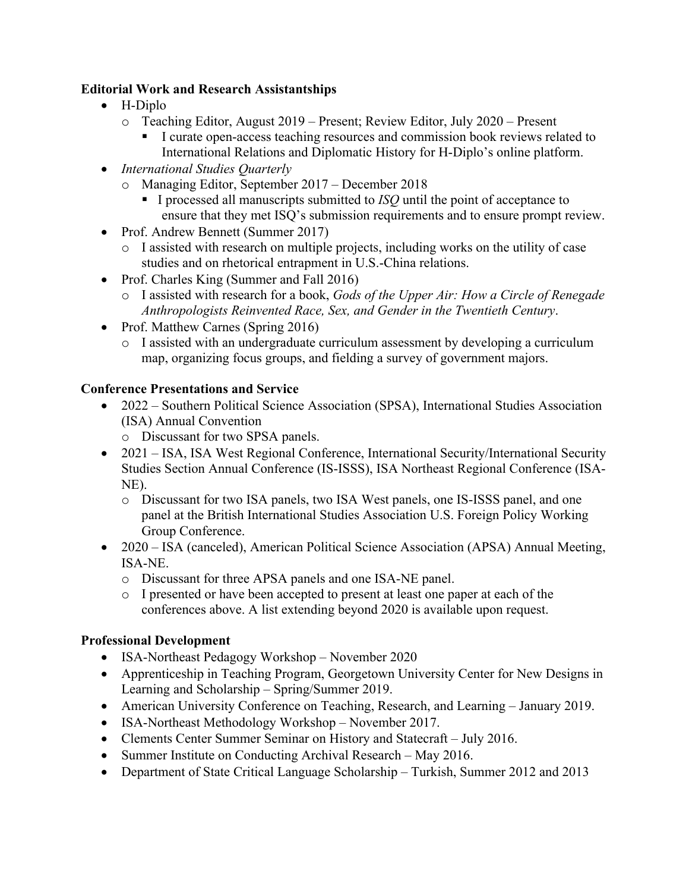#### **Editorial Work and Research Assistantships**

- H-Diplo
	- o Teaching Editor, August 2019 Present; Review Editor, July 2020 Present
		- I curate open-access teaching resources and commission book reviews related to International Relations and Diplomatic History for H-Diplo's online platform.
- *International Studies Quarterly*
	- o Managing Editor, September 2017 December 2018
		- § I processed all manuscripts submitted to *ISQ* until the point of acceptance to ensure that they met ISQ's submission requirements and to ensure prompt review.
- Prof. Andrew Bennett (Summer 2017)
	- o I assisted with research on multiple projects, including works on the utility of case studies and on rhetorical entrapment in U.S.-China relations.
- Prof. Charles King (Summer and Fall 2016)
	- o I assisted with research for a book, *Gods of the Upper Air: How a Circle of Renegade Anthropologists Reinvented Race, Sex, and Gender in the Twentieth Century*.
- Prof. Matthew Carnes (Spring 2016)
	- o I assisted with an undergraduate curriculum assessment by developing a curriculum map, organizing focus groups, and fielding a survey of government majors.

## **Conference Presentations and Service**

- 2022 Southern Political Science Association (SPSA), International Studies Association (ISA) Annual Convention
	- o Discussant for two SPSA panels.
- 2021 ISA, ISA West Regional Conference, International Security/International Security Studies Section Annual Conference (IS-ISSS), ISA Northeast Regional Conference (ISA-NE).
	- o Discussant for two ISA panels, two ISA West panels, one IS-ISSS panel, and one panel at the British International Studies Association U.S. Foreign Policy Working Group Conference.
- 2020 ISA (canceled), American Political Science Association (APSA) Annual Meeting, ISA-NE.
	- o Discussant for three APSA panels and one ISA-NE panel.
	- o I presented or have been accepted to present at least one paper at each of the conferences above. A list extending beyond 2020 is available upon request.

## **Professional Development**

- ISA-Northeast Pedagogy Workshop November 2020
- Apprenticeship in Teaching Program, Georgetown University Center for New Designs in Learning and Scholarship – Spring/Summer 2019.
- American University Conference on Teaching, Research, and Learning January 2019.
- ISA-Northeast Methodology Workshop November 2017.
- Clements Center Summer Seminar on History and Statecraft July 2016.
- Summer Institute on Conducting Archival Research May 2016.
- Department of State Critical Language Scholarship Turkish, Summer 2012 and 2013